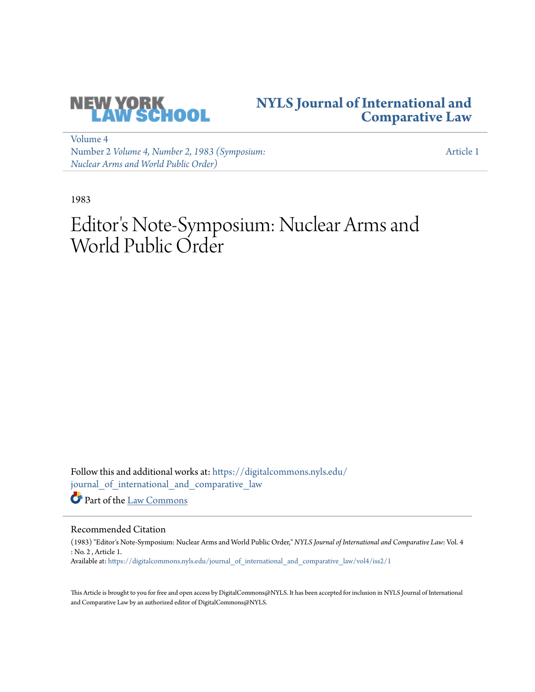

### **[NYLS Journal of International and](https://digitalcommons.nyls.edu/journal_of_international_and_comparative_law?utm_source=digitalcommons.nyls.edu%2Fjournal_of_international_and_comparative_law%2Fvol4%2Fiss2%2F1&utm_medium=PDF&utm_campaign=PDFCoverPages) [Comparative Law](https://digitalcommons.nyls.edu/journal_of_international_and_comparative_law?utm_source=digitalcommons.nyls.edu%2Fjournal_of_international_and_comparative_law%2Fvol4%2Fiss2%2F1&utm_medium=PDF&utm_campaign=PDFCoverPages)**

[Volume 4](https://digitalcommons.nyls.edu/journal_of_international_and_comparative_law/vol4?utm_source=digitalcommons.nyls.edu%2Fjournal_of_international_and_comparative_law%2Fvol4%2Fiss2%2F1&utm_medium=PDF&utm_campaign=PDFCoverPages) Number 2 *[Volume 4, Number 2, 1983 \(Symposium:](https://digitalcommons.nyls.edu/journal_of_international_and_comparative_law/vol4/iss2?utm_source=digitalcommons.nyls.edu%2Fjournal_of_international_and_comparative_law%2Fvol4%2Fiss2%2F1&utm_medium=PDF&utm_campaign=PDFCoverPages) [Nuclear Arms and World Public Order\)](https://digitalcommons.nyls.edu/journal_of_international_and_comparative_law/vol4/iss2?utm_source=digitalcommons.nyls.edu%2Fjournal_of_international_and_comparative_law%2Fvol4%2Fiss2%2F1&utm_medium=PDF&utm_campaign=PDFCoverPages)*

[Article 1](https://digitalcommons.nyls.edu/journal_of_international_and_comparative_law/vol4/iss2/1?utm_source=digitalcommons.nyls.edu%2Fjournal_of_international_and_comparative_law%2Fvol4%2Fiss2%2F1&utm_medium=PDF&utm_campaign=PDFCoverPages)

1983

# Editor 's Note-Symposium: Nuclear Arms and World Public Order

Follow this and additional works at: [https://digitalcommons.nyls.edu/](https://digitalcommons.nyls.edu/journal_of_international_and_comparative_law?utm_source=digitalcommons.nyls.edu%2Fjournal_of_international_and_comparative_law%2Fvol4%2Fiss2%2F1&utm_medium=PDF&utm_campaign=PDFCoverPages) [journal\\_of\\_international\\_and\\_comparative\\_law](https://digitalcommons.nyls.edu/journal_of_international_and_comparative_law?utm_source=digitalcommons.nyls.edu%2Fjournal_of_international_and_comparative_law%2Fvol4%2Fiss2%2F1&utm_medium=PDF&utm_campaign=PDFCoverPages) Part of the [Law Commons](http://network.bepress.com/hgg/discipline/578?utm_source=digitalcommons.nyls.edu%2Fjournal_of_international_and_comparative_law%2Fvol4%2Fiss2%2F1&utm_medium=PDF&utm_campaign=PDFCoverPages)

Recommended Citation

(1983) "Editor's Note-Symposium: Nuclear Arms and World Public Order," *NYLS Journal of International and Comparative Law*: Vol. 4 : No. 2 , Article 1. Available at: [https://digitalcommons.nyls.edu/journal\\_of\\_international\\_and\\_comparative\\_law/vol4/iss2/1](https://digitalcommons.nyls.edu/journal_of_international_and_comparative_law/vol4/iss2/1?utm_source=digitalcommons.nyls.edu%2Fjournal_of_international_and_comparative_law%2Fvol4%2Fiss2%2F1&utm_medium=PDF&utm_campaign=PDFCoverPages)

This Article is brought to you for free and open access by DigitalCommons@NYLS. It has been accepted for inclusion in NYLS Journal of International and Comparative Law by an authorized editor of DigitalCommons@NYLS.